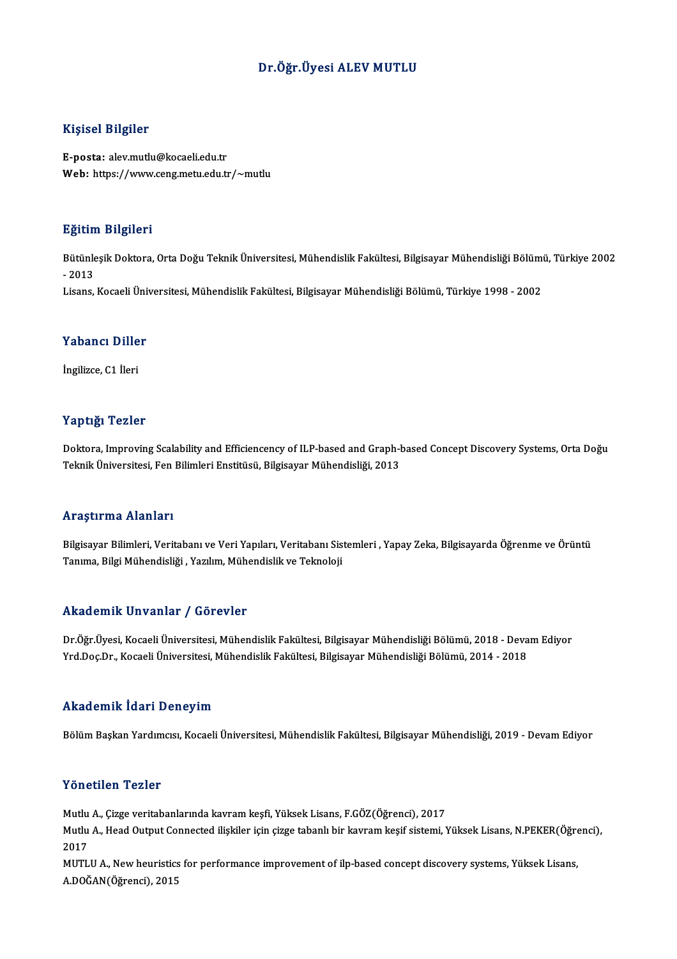### Dr.Öğr.Üyesi ALEV MUTLU

#### Kişisel Bilgiler

E-posta: alev.mutlu@kocaeli.edu.tr Web: https://www.ceng.metu.edu.tr/~mutlu

#### Eğitim Bilgileri

**Eğitim Bilgileri**<br>Bütünleşik Doktora, Orta Doğu Teknik Üniversitesi, Mühendislik Fakültesi, Bilgisayar Mühendisliği Bölümü, Türkiye 2002<br>2013 agress<br>Bütünle<br>- 2013<br>Lisans - 2013<br>Lisans, Kocaeli Üniversitesi, Mühendislik Fakültesi, Bilgisayar Mühendisliği Bölümü, Türkiye 1998 - 2002

## Lisans, Kocaell Uni<br>Yabancı Diller Y<mark>abancı Dille</mark><br>İngilizce, C1 İleri

# İngilizce, C1 İleri<br>Yaptığı Tezler

Yaptığı Tezler<br>Doktora, Improving Scalability and Efficiencency of ILP-based and Graph-based Concept Discovery Systems, Orta Doğu<br>Teknik Üniversitesi, Een Bilimleri Enstitüsü, Bilgisayar Mühendieliği, 2013 Tupuser Tonius<br>Doktora, Improving Scalability and Efficiencency of ILP-based and Graph-l<br>Teknik Üniversitesi, Fen Bilimleri Enstitüsü, Bilgisayar Mühendisliği, 2013 Teknik Üniversitesi, Fen Bilimleri Enstitüsü, Bilgisayar Mühendisliği, 2013<br>Araştırma Alanları

**Araştırma Alanları**<br>Bilgisayar Bilimleri, Veritabanı ve Veri Yapıları, Veritabanı Sistemleri , Yapay Zeka, Bilgisayarda Öğrenme ve Örüntü<br>Tanıma, Bilgi Mühandisliği, Yarılım Mühandislik ve Telmeleji. 111 ayan ma'ristining<br>Bilgisayar Bilimleri, Veritabanı ve Veri Yapıları, Veritabanı Sis<br>Tanıma, Bilgi Mühendisliği , Yazılım, Mühendislik ve Teknoloji Tanıma, Bilgi Mühendisliği , Yazılım, Mühendislik ve Teknoloji<br>Akademik Unvanlar / Görevler

Akademik Unvanlar / Görevler<br>Dr.Öğr.Üyesi, Kocaeli Üniversitesi, Mühendislik Fakültesi, Bilgisayar Mühendisliği Bölümü, 2018 - Devam Ediyor<br>Yrd Dee Dr. Kesseli Üniversitesi, Mühendislik Fakültesi, Bilgisayar Mühendisliği B YYRAA OMYA YATIMIZ 7 ADI OVOR<br>Dr.Öğr.Üyesi, Kocaeli Üniversitesi, Mühendislik Fakültesi, Bilgisayar Mühendisliği Bölümü, 2018 - Deva<br>Yrd.Doç.Dr., Kocaeli Üniversitesi, Mühendislik Fakültesi, Bilgisayar Mühendisliği Bölümü, Yrd.Doç.Dr., Kocaeli Üniversitesi, Mühendislik Fakültesi, Bilgisayar Mühendisliği Bölümü, 2014 - 2018<br>Akademik İdari Deneyim

Bölüm Başkan Yardımcısı, Kocaeli Üniversitesi, Mühendislik Fakültesi, Bilgisayar Mühendisliği, 2019 - Devam Ediyor

#### Yönetilen Tezler

Yönetilen Tezler<br>Mutlu A., Çizge veritabanlarında kavram keşfi, Yüksek Lisans, F.GÖZ(Öğrenci), 2017<br>Mutlu A. Head Qutput Connected ilişkilen isin sizge tabanlı bir kayram kesif sistemi N

Mutlu A., Head Output Connected ilişkiler için çizge tabanlı bir kavram keşif sistemi, Yüksek Lisans, N.PEKER(Öğrenci),<br>2017 Mutlu<br>Mutlu<br>2017<br>MUTI Mutlu A., Head Output Connected ilişkiler için çizge tabanlı bir kavram keşif sistemi, Yüksek Lisans, N.PEKER(Öğre<br>2017<br>MUTLU A., New heuristics for performance improvement of ilp-based concept discovery systems, Yüksek Li

2017<br>MUTLU A., New heuristics<br>A.DOĞAN(Öğrenci), 2015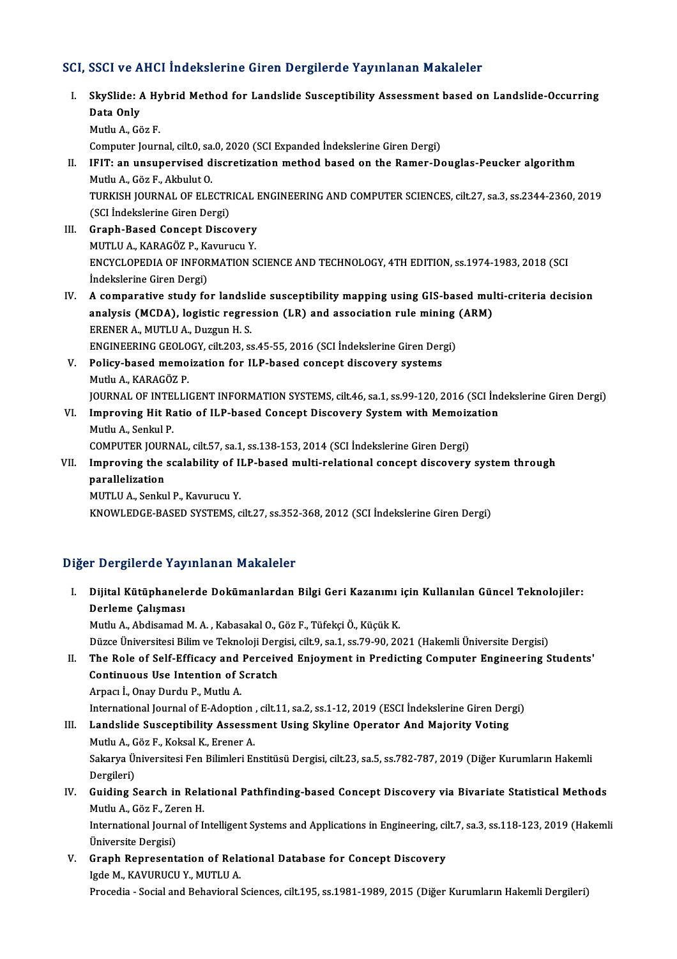### SCI, SSCI ve AHCI İndekslerine Giren Dergilerde Yayınlanan Makaleler

CI, SSCI ve AHCI İndekslerine Giren Dergilerde Yayınlanan Makaleler<br>I. SkySlide: A Hybrid Method for Landslide Susceptibility Assessment based on Landslide-Occurring<br>Pata Only SBS1 vs 11<br>SkySlide: *A*<br>Data Only Data Only<br>Mutlu A., Göz F. Computer Journal, cilt.0, sa.0, 2020 (SCI Expanded İndekslerine Giren Dergi) Mutlu A., Göz F.<br>Computer Journal, cilt.0, sa.0, 2020 (SCI Expanded Indekslerine Giren Dergi)<br>II. IFIT: an unsupervised discretization method based on the Ramer-Douglas-Peucker algorithm<br>Mutly A. Cöz E. Althylut O Computer Journal, cilt.0, sa.<br>IFIT: an unsupervised d<br>Mutlu A., Göz F., Akbulut O.<br>TURKISH JOURNAL OF ELE IFIT: an unsupervised discretization method based on the Ramer-Douglas-Peucker algorithm<br>Mutlu A., Göz F., Akbulut O.<br>TURKISH JOURNAL OF ELECTRICAL ENGINEERING AND COMPUTER SCIENCES, cilt.27, sa.3, ss.2344-2360, 2019<br>(SCI Mutlu A., Göz F., Akbulut O.<br>TURKISH JOURNAL OF ELECTR<br>(SCI İndekslerine Giren Dergi)<br>Cranh Basad Cansant Dissa TURKISH JOURNAL OF ELECTRICAL I<br>
(SCI Indekslerine Giren Dergi)<br>
III. Graph-Based Concept Discovery<br>
MUTHIA KARAGÖZ B KATURUSU Y (SCI İndekslerine Giren Dergi)<br>Graph-Based Concept Discovery<br>MUTLU A., KARAGÖZ P., Kavurucu Y.<br>ENCYCLOPEDIA OF INFORMATION S MUTLU A., KARAGÖZ P., Kavurucu Y.<br>ENCYCLOPEDIA OF INFORMATION SCIENCE AND TECHNOLOGY, 4TH EDITION, ss.1974-1983, 2018 (SCI İndekslerine Giren Dergi) ENCYCLOPEDIA OF INFORMATION SCIENCE AND TECHNOLOGY, 4TH EDITION, ss.1974-1983, 2018 (SCI<br>Indekslerine Giren Dergi)<br>IV. A comparative study for landslide susceptibility mapping using GIS-based multi-criteria decision<br>analys Indekslerine Giren Dergi)<br>A comparative study for landslide susceptibility mapping using GIS-based mul<br>analysis (MCDA), logistic regression (LR) and association rule mining (ARM)<br>ERENER A MUTHI A Duggun H S ERENER A., MUTLU A., Duzgun H. S. analysis (MCDA), logistic regression (LR) and association rule mining (ARM) V. Policy-based memoization for ILP-based concept discovery systems<br>Mutlu A., KARAGÖZ P. ENGINEERING GEOLOGY, cilt.203, ss.45-55, 2016 (SCI İndekslerine Giren Dergi) JOURNAL OF INTELLIGENT INFORMATION SYSTEMS, cilt.46, sa.1, ss.99-120, 2016 (SCI İndekslerine Giren Dergi) Mutlu A., KARAGÖZ P.<br>JOURNAL OF INTELLIGENT INFORMATION SYSTEMS, cilt.46, sa.1, ss.99-120, 2016 (SCI Ind<br>VI. Improving Hit Ratio of ILP-based Concept Discovery System with Memoization<br>Mutly A. Sophal P. Mutlu A., Senkul P.<br>COMPUTER JOURNAL, cilt.57, sa.1, ss.138-153, 2014 (SCI İndekslerine Giren Dergi) Improving Hit Ratio of ILP-based Concept Discovery System with Memoiz<br>Mutlu A., Senkul P.<br>COMPUTER JOURNAL, cilt.57, sa.1, ss.138-153, 2014 (SCI İndekslerine Giren Dergi)<br>Improving the esclebility of H.P. based multi pelat Mutlu A., Senkul P.<br>COMPUTER JOURNAL, cilt.57, sa.1, ss.138-153, 2014 (SCI İndekslerine Giren Dergi)<br>VII. Improving the scalability of ILP-based multi-relational concept discovery system through<br>nanallelization COMPUTER JOUR<br>Improving the<br>parallelization<br>MUTULA Seplu Improving the scalability of II<br>parallelization<br>MUTLU A., Senkul P., Kavurucu Y.<br>KNOWLEDGE BASED SYSTEMS 2 parallelization<br>MUTLU A., Senkul P., Kavurucu Y.<br>KNOWLEDGE-BASED SYSTEMS, cilt.27, ss.352-368, 2012 (SCI İndekslerine Giren Dergi)

## Diğer Dergilerde Yayınlanan Makaleler

- I. Dijital Kütüphanelerde Dokümanlardan Bilgi Geri Kazanımı için Kul anılan Güncel Teknolojiler: 1 Der gilen de Tay<br>Dijital Kütüphanele<br>Derleme Çalışması<br>Mutlu A. Abdisamad Dijital Kütüphanelerde Dokümanlardan Bilgi Geri Kazanımı<br>Derleme Çalışması<br>Mutlu A., Abdisamad M. A. , Kabasakal O., Göz F., Tüfekçi Ö., Küçük K.<br>Dürge Üniversitesi Bilim ve Telmeleji Dergisi, silt 9, sa 1, ss 79, 99, 20 <mark>Derleme Çalışması</mark><br>Mutlu A., Abdisamad M. A. , Kabasakal O., Göz F., Tüfekçi Ö., Küçük K.<br>Düzce Üniversitesi Bilim ve Teknoloji Dergisi, cilt.9, sa.1, ss.79-90, 2021 (Hakemli Üniversite Dergisi)<br>The Bole of Self Efficeau Mutlu A., Abdisamad M. A. , Kabasakal O., Göz F., Tüfekçi Ö., Küçük K.<br>Düzce Üniversitesi Bilim ve Teknoloji Dergisi, cilt.9, sa.1, ss.79-90, 2021 (Hakemli Üniversite Dergisi)<br>II. The Role of Self-Efficacy and Perceived En Düzce Üniversitesi Bilim ve Teknoloji Derg<br>The Role of Self-Efficacy and Perceiv<br>Continuous Use Intention of Scratch<br>Arnes L. Oney Durdy B. Muthy A The Role of Self-Efficacy and<br>Continuous Use Intention of S<br>Arpacı İ., Onay Durdu P., Mutlu A. Continuous Use Intention of Scratch<br>Arpacı İ., Onay Durdu P., Mutlu A.<br>International Journal of E-Adoption , cilt.11, sa.2, ss.1-12, 2019 (ESCI İndekslerine Giren Dergi) III. Landslide Susceptibility Assessment Using Skyline Operator And Majority Voting International Journal of E-Adoption<br>Landslide Susceptibility Assessn<br>Mutlu A., Göz F., Koksal K., Erener A.<br>Sekawya Üniversitesi Een Bilimleri Er Landslide Susceptibility Assessment Using Skyline Operator And Majority Voting<br>Mutlu A., Göz F., Koksal K., Erener A.<br>Sakarya Üniversitesi Fen Bilimleri Enstitüsü Dergisi, cilt.23, sa.5, ss.782-787, 2019 (Diğer Kurumların Mutlu A., G<br>Sakarya Ül<br>Dergileri)<br>Guiding S Sakarya Üniversitesi Fen Bilimleri Enstitüsü Dergisi, cilt.23, sa.5, ss.782-787, 2019 (Diğer Kurumların Hakemli<br>Dergileri)<br>IV. Guiding Search in Relational Pathfinding-based Concept Discovery via Bivariate Statistical Meth Dergileri)<br>IV. Guiding Search in Relational Pathfinding-based Concept Discovery via Bivariate Statistical Methods<br>Mutlu A., Göz F., Zeren H. Guiding Search in Relational Pathfinding-based Concept Discovery via Bivariate Statistical Methods<br>Mutlu A., Göz F., Zeren H.<br>International Journal of Intelligent Systems and Applications in Engineering, cilt.7, sa.3, ss.1 Mutlu A., Göz F., Zer<br>International Journ<br>Üniversite Dergisi)<br>Cranh Bonrosant International Journal of Intelligent Systems and Applications in Engineering, ci<br>Üniversite Dergisi)<br>V. Graph Representation of Relational Database for Concept Discovery<br>Isde M. KAVURUCU V. MUTULA Universite Dergisi)<br>Graph Representation of Rela<br>Igde M., KAVURUCU Y., MUTLU A.<br>Presedia...Sosial and Pehavioral.
	- Igde M., KAVURUCU Y., MUTLU A.<br>Procedia Social and Behavioral Sciences, cilt.195, ss.1981-1989, 2015 (Diğer Kurumların Hakemli Dergileri)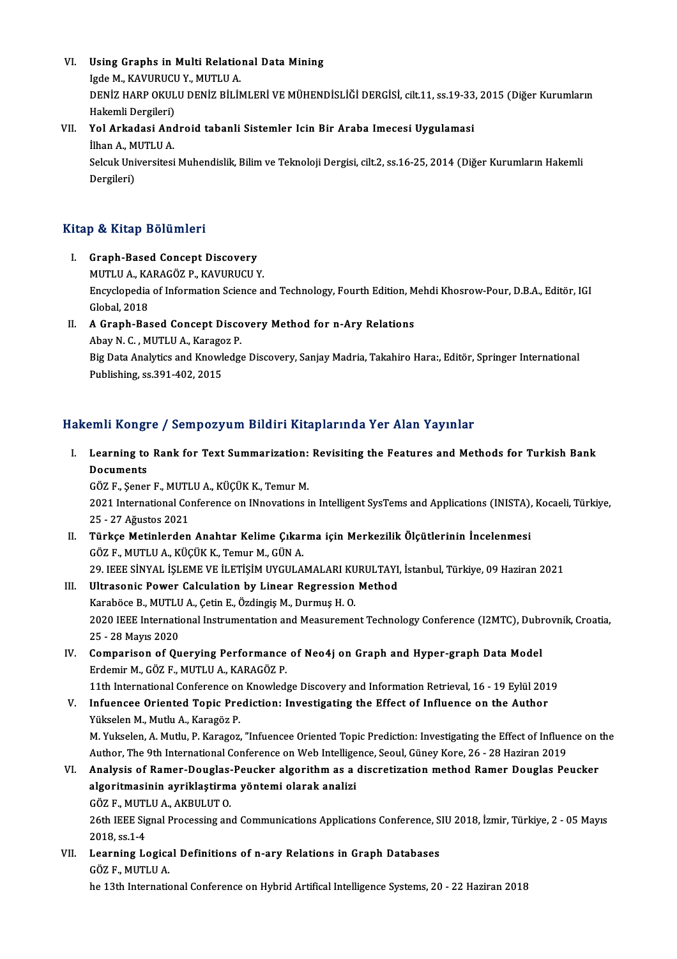VI. Using Graphs in Multi Relational Data Mining Using Graphs in Multi Relatio<br>Igde M., KAVURUCU Y., MUTLU A.<br>DENİZ HARR QKULU DENİZ BİLİM DENİZ HARP OKULU DENİZ BİLİMLERİ VE MÜHENDİSLİĞİ DERGİSİ, cilt.11, ss.19-33, 2015 (Diğer Kurumların<br>Hakemli Dergileri) Igde M., KAVURUC<mark>U</mark><br>DENİZ HARP OKUL<br>Hakemli Dergileri)<br>Vel Arkedesi And DENİZ HARP OKULU DENİZ BİLİMLERİ VE MÜHENDİSLİĞİ DERGİSİ, cilt.11, ss.19-33<br>Hakemli Dergileri)<br>VII. Yol Arkadasi Android tabanli Sistemler Icin Bir Araba Imecesi Uygulamasi<br><sup>İlban A</sup>. MUTU A

## Hakemli Dergileri)<br>**Yol Arkadasi And<br>İlhan A., MUTLU A.**<br>Seleuk Universitesi Yol Arkadasi Android tabanli Sistemler Icin Bir Araba Imecesi Uygulamasi<br>İlhan A., MUTLU A.<br>Selcuk Universitesi Muhendislik, Bilim ve Teknoloji Dergisi, cilt.2, ss.16-25, 2014 (Diğer Kurumların Hakemli<br>Dergileri)

İlhan A., M<br>Selcuk Uni<br>Dergileri)

# Dergileri)<br>Kitap & Kitap Bölümleri

- I. Graph-Based Concept Discovery p & KRap Bordmior<br>Graph-Based Concept Discovery<br>MUTLU A., KARAGÖZ P., KAVURUCU Y.<br>Engyslanedia of Information Science of Encyclopedia of Information Science and Technology, Fourth Edition, Mehdi Khosrow-Pour, D.B.A., Editör, IGI<br>Global, 2018 MUTLU A., KA<br>Encyclopedia<br>Global, 2018 Encyclopedia of Information Science and Technology, Fourth Edition, M<br>Global, 2018<br>II. A Graph-Based Concept Discovery Method for n-Ary Relations<br>Abou N.C. MUTHUA, Karagar P.
- Global, 2018<br>**A Graph-Based Concept Disco**<br>Abay N. C. , MUTLU A., Karagoz P.<br><sup>Big</sup> Data Anakitiss and Knowledg: Big Data Analytics and Knowledge Discovery, Sanjay Madria, Takahiro Hara:, Editör, Springer International Publishing, ss.391-402, 2015 Abay N. C., MUTLU A., Karagoz P.

### Hakemli Kongre / Sempozyum Bildiri Kitaplarında Yer Alan Yayınlar

akemli Kongre / Sempozyum Bildiri Kitaplarında Yer Alan Yayınlar<br>I. Learning to Rank for Text Summarization: Revisiting the Features and Methods for Turkish Bank<br>Pecuments *Jimi* Aongi<br>Learning to<br>Documents Learning to Rank for Text Summarization:<br>Documents<br>GÖZ F., Şener F., MUTLU A., KÜÇÜK K., Temur M.<br>2021 International Conference on INnovationa.

Documents<br>GÖZ F., Şener F., MUTLU A., KÜÇÜK K., Temur M.<br>2021 International Conference on INnovations in Intelligent SysTems and Applications (INISTA), Kocaeli, Türkiye, 302 F., Şener F., MUTL<br>2021 International Co.<br>25 - 27 Ağustos 2021<br>Türkee Metinlandan 2021 International Conference on INnovations in Intelligent SysTems and Applications (INISTA),<br>25 - 27 Ağustos 2021<br>II. Türkçe Metinlerden Anahtar Kelime Çıkarma için Merkezilik Ölçütlerinin İncelenmesi<br>607 E. MUTUJA, KÜÇÜ

- 25 27 Ağustos 2021<br>II. Türkçe Metinlerden Anahtar Kelime Çıkarma için Merkezilik Ölçütlerinin İncelenmesi<br>GÖZ F., MUTLU A., KÜÇÜK K., Temur M., GÜN A. Türkçe Metinlerden Anahtar Kelime Çıkarma için Merkezilik Ölçütlerinin İncelenmesi<br>GÖZ F., MUTLU A., KÜÇÜK K., Temur M., GÜN A.<br>29. IEEE SİNYAL İŞLEME VE İLETİŞİM UYGULAMALARI KURULTAYI, İstanbul, Türkiye, 09 Haziran 2021<br> GÖZ F., MUTLU A., KÜÇÜK K., Temur M., GÜN A.<br>29. IEEE SİNYAL İŞLEME VE İLETİŞİM UYGULAMALARI KURULTAYI,<br>III. Ultrasonic Power Calculation by Linear Regression Method<br>Karabëga B. MUTLU A. Catin E. Özdingia M. Durmus H. O.
- 29. IEEE SİNYAL İŞLEME VE İLETİŞİM UYGULAMALARI KU<br>Ultrasonic Power Calculation by Linear Regression<br>Karaböce B., MUTLU A., Çetin E., Özdingiş M., Durmuş H. O.<br>2020 IEEE International Instrumentation and Messuremen III. Ultrasonic Power Calculation by Linear Regression Method<br>Karaböce B., MUTLU A., Çetin E., Özdingiş M., Durmuş H. O.<br>2020 IEEE International Instrumentation and Measurement Technology Conference (I2MTC), Dubrovnik, Cro Karaböce B., MUTLU<br>2020 IEEE Internation<br>25 - 28 Mayıs 2020<br>Comnarison of Qu 2020 IEEE International Instrumentation and Measurement Technology Conference (I2MTC), Dubr<br>25 - 28 Mayıs 2020<br>IV. Comparison of Querying Performance of Neo4j on Graph and Hyper-graph Data Model<br>Frdemir M. CÖZ E. MUTUJA, K
- 25 28 Mayıs 2020<br>Comparison of Querying Performance<br>Erdemir M., GÖZ F., MUTLU A., KARAGÖZ P.<br>11th International Conference en Knowled Comparison of Querying Performance of Neo4j on Graph and Hyper-graph Data Model<br>Erdemir M., GÖZ F., MUTLU A., KARAGÖZ P.<br>11th International Conference on Knowledge Discovery and Information Retrieval, 16 - 19 Eylül 2019<br>In Erdemir M., GÖZ F., MUTLU A., KARAGÖZ P.<br>11th International Conference on Knowledge Discovery and Information Retrieval, 16 - 19 Eylül 201<br>11th Infuencee Oriented Topic Prediction: Investigating the Effect of Influence on
	-
- 11th International Conference on<br>Infuencee Oriented Topic Pre<br>Yükselen M., Mutlu A., Karagöz P.<br>M. Yukselen A. Mutlu B. Karagöz P. Yükselen M., Mutlu A., Karagöz P.<br>M. Yukselen, A. Mutlu, P. Karagoz, "Infuencee Oriented Topic Prediction: Investigating the Effect of Influence on the Yükselen M., Mutlu A., Karagöz P.<br>M. Yukselen, A. Mutlu, P. Karagoz, "Infuencee Oriented Topic Prediction: Investigating the Effect of Influer<br>Author, The 9th International Conference on Web Intelligence, Seoul, Güney Kore

VI. Analysis of Ramer-Douglas-Peucker algorithmas a discretizationmethod Ramer Douglas Peucker Author, The 9th International Conference on Web Intellige<br>Analysis of Ramer-Douglas-Peucker algorithm as a<br>algoritmasinin ayriklaştirma yöntemi olarak analizi<br>CÖZE, MUTULA, AKRULUTO Analysis of Ramer-Douglas-<br>algoritmasinin ayriklaştirm<br>GÖZ F., MUTLU A., AKBULUT 0.<br>26th IEEE Signal Processing an

26th IEEE Signal Processing and Communications Applications Conference, SIU 2018, İzmir, Türkiye, 2 - 05 Mayıs<br>2018, ss.1-4 GÖZ F., MUTI<br>26th IEEE Sig<br>2018, ss.1-4<br>Learning L 26th IEEE Signal Processing and Communications Applications Conference, S<br>2018, ss.1-4<br>VII. Learning Logical Definitions of n-ary Relations in Graph Databases<br>CÖZE MITHHA

2018, ss.1-4<br>Learning Logica<br>GÖZ F., MUTLU A.<br>bo 13th Internatic

GÖZ F., MUTLU A.<br>he 13th International Conference on Hybrid Artifical Intelligence Systems, 20 - 22 Haziran 2018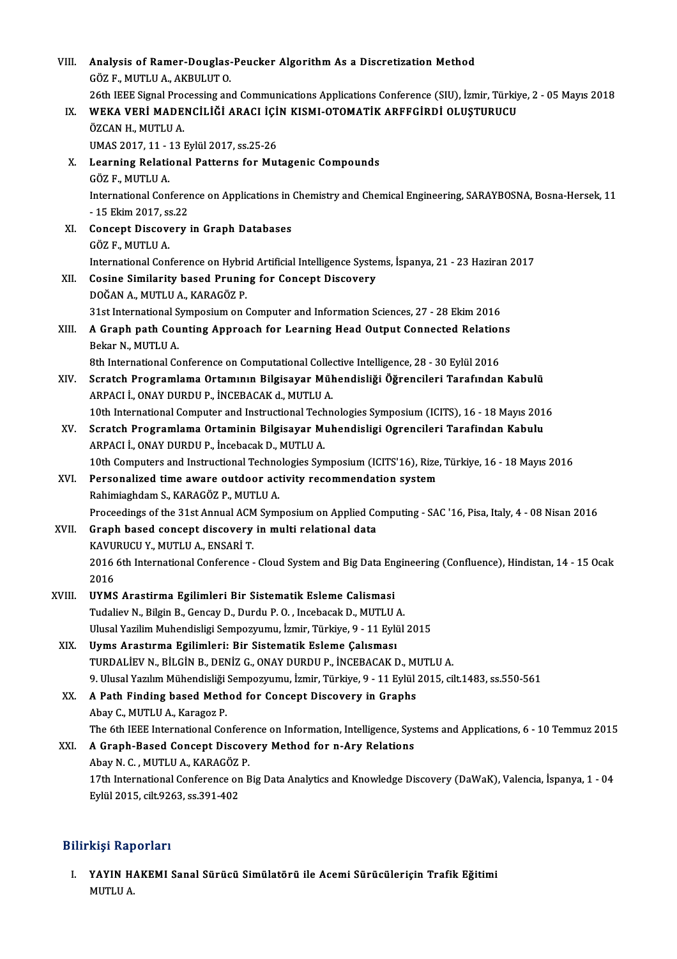| VIII.  | Analysis of Ramer-Douglas-Peucker Algorithm As a Discretization Method                                                                                                                  |
|--------|-----------------------------------------------------------------------------------------------------------------------------------------------------------------------------------------|
|        | GÖZ F, MUTLU A, AKBULUT O.                                                                                                                                                              |
| IX.    | 26th IEEE Signal Processing and Communications Applications Conference (SIU), İzmir, Türkiye, 2 - 05 Mayıs 2018<br>WEKA VERİ MADENCILIĞI ARACI IÇIN KISMI-OTOMATIK ARFFGIRDI OLUŞTURUCU |
|        | ÖZCAN H., MUTLU A.                                                                                                                                                                      |
|        | UMAS 2017, 11 - 13 Eylül 2017, ss.25-26                                                                                                                                                 |
| X.     | Learning Relational Patterns for Mutagenic Compounds<br>GÖZ F., MUTLU A.                                                                                                                |
|        | International Conference on Applications in Chemistry and Chemical Engineering, SARAYBOSNA, Bosna-Hersek, 11<br>- 15 Ekim 2017, ss 22                                                   |
| XI.    | <b>Concept Discovery in Graph Databases</b><br>GÖZ F., MUTLU A.                                                                                                                         |
|        | International Conference on Hybrid Artificial Intelligence Systems, İspanya, 21 - 23 Haziran 2017                                                                                       |
| XII.   | <b>Cosine Similarity based Pruning for Concept Discovery</b><br>DOĞAN A., MUTLU A., KARAGÖZ P.                                                                                          |
|        | 31st International Symposium on Computer and Information Sciences, 27 - 28 Ekim 2016                                                                                                    |
| XIII.  | A Graph path Counting Approach for Learning Head Output Connected Relations                                                                                                             |
|        | Bekar N., MUTLU A.                                                                                                                                                                      |
|        | 8th International Conference on Computational Collective Intelligence, 28 - 30 Eylül 2016                                                                                               |
| XIV.   | Scratch Programlama Ortamının Bilgisayar Mühendisliği Öğrencileri Tarafından Kabulü                                                                                                     |
|        | ARPACI İ., ONAY DURDU P., İNCEBACAK d., MUTLU A.                                                                                                                                        |
|        | 10th International Computer and Instructional Technologies Symposium (ICITS), 16 - 18 Mayıs 2016                                                                                        |
| XV.    | Scratch Programlama Ortaminin Bilgisayar Muhendisligi Ogrencileri Tarafindan Kabulu                                                                                                     |
|        | ARPACI İ., ONAY DURDU P., İncebacak D., MUTLU A.                                                                                                                                        |
|        | 10th Computers and Instructional Technologies Symposium (ICITS'16), Rize, Türkiye, 16 - 18 Mayıs 2016                                                                                   |
| XVI.   | Personalized time aware outdoor activity recommendation system<br>Rahimiaghdam S., KARAGÖZ P., MUTLU A.                                                                                 |
|        | Proceedings of the 31st Annual ACM Symposium on Applied Computing - SAC '16, Pisa, Italy, 4 - 08 Nisan 2016                                                                             |
| XVII.  | Graph based concept discovery in multi relational data                                                                                                                                  |
|        | KAVURUCU Y., MUTLU A., ENSARİ T.                                                                                                                                                        |
|        | 2016 6th International Conference - Cloud System and Big Data Engineering (Confluence), Hindistan, 14 - 15 Ocak                                                                         |
|        | 2016                                                                                                                                                                                    |
| XVIII. | UYMS Arastirma Egilimleri Bir Sistematik Esleme Calismasi                                                                                                                               |
|        | Tudaliev N., Bilgin B., Gencay D., Durdu P.O., Incebacak D., MUTLU A.                                                                                                                   |
|        | Ulusal Yazilim Muhendisligi Sempozyumu, İzmir, Türkiye, 9 - 11 Eylül 2015                                                                                                               |
| XIX.   | Uyms Arastırma Egilimleri: Bir Sistematik Esleme Çalısması                                                                                                                              |
|        | TURDALIEV N., BILGIN B., DENIZ G., ONAY DURDU P., INCEBACAK D., MUTLU A.                                                                                                                |
|        | 9. Ulusal Yazılım Mühendisliği Sempozyumu, İzmir, Türkiye, 9 - 11 Eylül 2015, cilt.1483, ss.550-561                                                                                     |
| XX.    | A Path Finding based Method for Concept Discovery in Graphs                                                                                                                             |
|        | Abay C., MUTLU A., Karagoz P.                                                                                                                                                           |
|        | The 6th IEEE International Conference on Information, Intelligence, Systems and Applications, 6 - 10 Temmuz 2015                                                                        |
| XXI.   | A Graph-Based Concept Discovery Method for n-Ary Relations                                                                                                                              |
|        | Abay N. C., MUTLU A., KARAGÖZ P.                                                                                                                                                        |
|        | 17th International Conference on Big Data Analytics and Knowledge Discovery (DaWaK), Valencia, İspanya, 1 - 04                                                                          |
|        | Eylül 2015, cilt 9263, ss 391-402                                                                                                                                                       |

## Bilirkişi Raporları

İlirkişi Raporları<br>I. YAYIN HAKEMI Sanal Sürücü Simülatörü ile Acemi Sürücüleriçin Trafik Eğitimi<br>MUTI U A XIYI Kup<br>YAYIN H<br>MUTLU A.